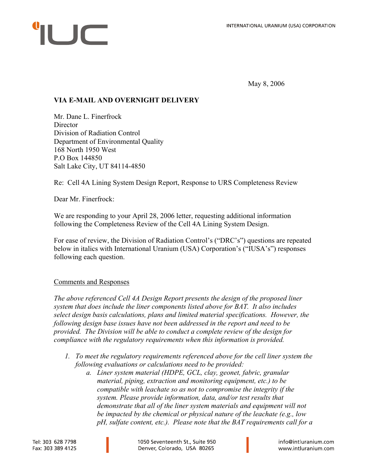## $\sqrt{ }$

May 8, 2006

## **VIA E-MAIL AND OVERNIGHT DELIVERY**

Mr. Dane L. Finerfrock **Director** Division of Radiation Control Department of Environmental Quality 168 North 1950 West P.O Box 144850 Salt Lake City, UT 84114-4850

Re: Cell 4A Lining System Design Report, Response to URS Completeness Review

Dear Mr. Finerfrock:

We are responding to your April 28, 2006 letter, requesting additional information following the Completeness Review of the Cell 4A Lining System Design.

For ease of review, the Division of Radiation Control's ("DRC's") questions are repeated below in italics with International Uranium (USA) Corporation's ("IUSA's") responses following each question.

## Comments and Responses

*The above referenced Cell 4A Design Report presents the design of the proposed liner system that does include the liner components listed above for BAT. It also includes select design basis calculations, plans and limited material specifications. However, the following design base issues have not been addressed in the report and need to be provided. The Division will be able to conduct a complete review of the design for compliance with the regulatory requirements when this information is provided.* 

- *1. To meet the regulatory requirements referenced above for the cell liner system the following evaluations or calculations need to be provided:* 
	- *a. Liner system material (HDPE, GCL, clay, geonet, fabric, granular material, piping, extraction and monitoring equipment, etc.) to be compatible with leachate so as not to compromise the integrity if the system. Please provide information, data, and/or test results that demonstrate that all of the liner system materials and equipment will not be impacted by the chemical or physical nature of the leachate (e.g., low pH, sulfate content, etc.). Please note that the BAT requirements call for a*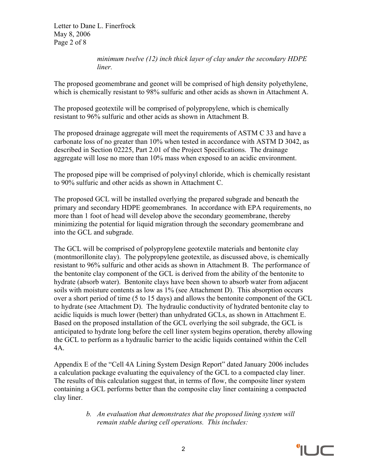Letter to Dane L. Finerfrock May 8, 2006 Page 2 of 8

> *minimum twelve (12) inch thick layer of clay under the secondary HDPE liner.*

The proposed geomembrane and geonet will be comprised of high density polyethylene, which is chemically resistant to 98% sulfuric and other acids as shown in Attachment A.

The proposed geotextile will be comprised of polypropylene, which is chemically resistant to 96% sulfuric and other acids as shown in Attachment B.

The proposed drainage aggregate will meet the requirements of ASTM C 33 and have a carbonate loss of no greater than 10% when tested in accordance with ASTM D 3042, as described in Section 02225, Part 2.01 of the Project Specifications. The drainage aggregate will lose no more than 10% mass when exposed to an acidic environment.

The proposed pipe will be comprised of polyvinyl chloride, which is chemically resistant to 90% sulfuric and other acids as shown in Attachment C.

The proposed GCL will be installed overlying the prepared subgrade and beneath the primary and secondary HDPE geomembranes. In accordance with EPA requirements, no more than 1 foot of head will develop above the secondary geomembrane, thereby minimizing the potential for liquid migration through the secondary geomembrane and into the GCL and subgrade.

The GCL will be comprised of polypropylene geotextile materials and bentonite clay (montmorillonite clay). The polypropylene geotextile, as discussed above, is chemically resistant to 96% sulfuric and other acids as shown in Attachment B. The performance of the bentonite clay component of the GCL is derived from the ability of the bentonite to hydrate (absorb water). Bentonite clays have been shown to absorb water from adjacent soils with moisture contents as low as 1% (see Attachment D). This absorption occurs over a short period of time (5 to 15 days) and allows the bentonite component of the GCL to hydrate (see Attachment D). The hydraulic conductivity of hydrated bentonite clay to acidic liquids is much lower (better) than unhydrated GCLs, as shown in Attachment E. Based on the proposed installation of the GCL overlying the soil subgrade, the GCL is anticipated to hydrate long before the cell liner system begins operation, thereby allowing the GCL to perform as a hydraulic barrier to the acidic liquids contained within the Cell 4A.

Appendix E of the "Cell 4A Lining System Design Report" dated January 2006 includes a calculation package evaluating the equivalency of the GCL to a compacted clay liner. The results of this calculation suggest that, in terms of flow, the composite liner system containing a GCL performs better than the composite clay liner containing a compacted clay liner.

> *b. An evaluation that demonstrates that the proposed lining system will remain stable during cell operations. This includes:*

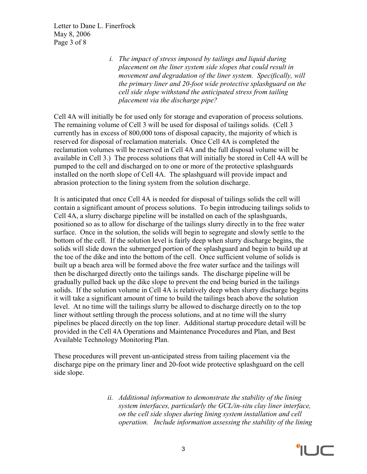Letter to Dane L. Finerfrock May 8, 2006 Page 3 of 8

> *i. The impact of stress imposed by tailings and liquid during placement on the liner system side slopes that could result in movement and degradation of the liner system. Specifically, will the primary liner and 20-foot wide protective splashguard on the cell side slope withstand the anticipated stress from tailing placement via the discharge pipe?*

Cell 4A will initially be for used only for storage and evaporation of process solutions. The remaining volume of Cell 3 will be used for disposal of tailings solids. (Cell 3 currently has in excess of 800,000 tons of disposal capacity, the majority of which is reserved for disposal of reclamation materials. Once Cell 4A is completed the reclamation volumes will be reserved in Cell 4A and the full disposal volume will be available in Cell 3.) The process solutions that will initially be stored in Cell 4A will be pumped to the cell and discharged on to one or more of the protective splashguards installed on the north slope of Cell 4A. The splashguard will provide impact and abrasion protection to the lining system from the solution discharge.

It is anticipated that once Cell 4A is needed for disposal of tailings solids the cell will contain a significant amount of process solutions. To begin introducing tailings solids to Cell 4A, a slurry discharge pipeline will be installed on each of the splashguards, positioned so as to allow for discharge of the tailings slurry directly in to the free water surface. Once in the solution, the solids will begin to segregate and slowly settle to the bottom of the cell. If the solution level is fairly deep when slurry discharge begins, the solids will slide down the submerged portion of the splashguard and begin to build up at the toe of the dike and into the bottom of the cell. Once sufficient volume of solids is built up a beach area will be formed above the free water surface and the tailings will then be discharged directly onto the tailings sands. The discharge pipeline will be gradually pulled back up the dike slope to prevent the end being buried in the tailings solids. If the solution volume in Cell 4A is relatively deep when slurry discharge begins it will take a significant amount of time to build the tailings beach above the solution level. At no time will the tailings slurry be allowed to discharge directly on to the top liner without settling through the process solutions, and at no time will the slurry pipelines be placed directly on the top liner. Additional startup procedure detail will be provided in the Cell 4A Operations and Maintenance Procedures and Plan, and Best Available Technology Monitoring Plan.

These procedures will prevent un-anticipated stress from tailing placement via the discharge pipe on the primary liner and 20-foot wide protective splashguard on the cell side slope.

> *ii. Additional information to demonstrate the stability of the lining system interfaces, particularly the GCL/in-situ clay liner interface, on the cell side slopes during lining system installation and cell operation. Include information assessing the stability of the lining*

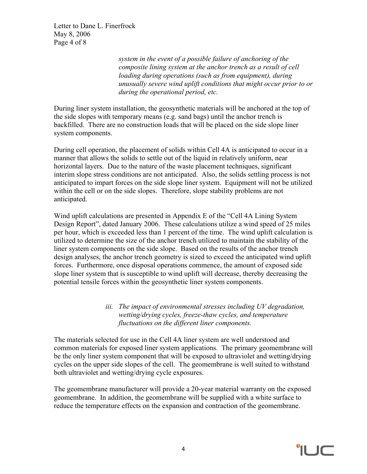Letter to Dane L. Finerfrock May 8, 2006 Page 4 of 8

> *system in the event of a possible failure of anchoring of the composite lining system at the anchor trench as a result of cell loading during operations (such as from equipment), during unusually severe wind uplift conditions that might occur prior to or during the operational period, etc.*

During liner system installation, the geosynthetic materials will be anchored at the top of the side slopes with temporary means (e.g. sand bags) until the anchor trench is backfilled. There are no construction loads that will be placed on the side slope liner system components.

During cell operation, the placement of solids within Cell 4A is anticipated to occur in a manner that allows the solids to settle out of the liquid in relatively uniform, near horizontal layers. Due to the nature of the waste placement techniques, significant interim slope stress conditions are not anticipated. Also, the solids settling process is not anticipated to impart forces on the side slope liner system. Equipment will not be utilized within the cell or on the side slopes. Therefore, slope stability problems are not anticipated.

Wind uplift calculations are presented in Appendix E of the "Cell 4A Lining System Design Report", dated January 2006. These calculations utilize a wind speed of 25 miles per hour, which is exceeded less than 1 percent of the time. The wind uplift calculation is utilized to determine the size of the anchor trench utilized to maintain the stability of the liner system components on the side slope. Based on the results of the anchor trench design analyses, the anchor trench geometry is sized to exceed the anticipated wind uplift forces. Furthermore, once disposal operations commence, the amount of exposed side slope liner system that is susceptible to wind uplift will decrease, thereby decreasing the potential tensile forces within the geosynthetic liner system components.

> *iii. The impact of environmental stresses including UV degradation, wetting/drying cycles, freeze-thaw cycles, and temperature fluctuations on the different liner components.*

The materials selected for use in the Cell 4A liner system are well understood and common materials for exposed liner system applications. The primary geomembrane will be the only liner system component that will be exposed to ultraviolet and wetting/drying cycles on the upper side slopes of the cell. The geomembrane is well suited to withstand both ultraviolet and wetting/drying cycle exposures.

The geomembrane manufacturer will provide a 20-year material warranty on the exposed geomembrane. In addition, the geomembrane will be supplied with a white surface to reduce the temperature effects on the expansion and contraction of the geomembrane.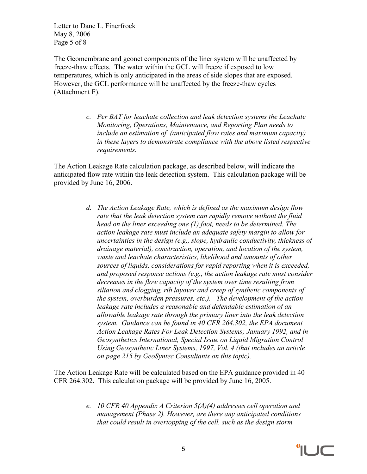Letter to Dane L. Finerfrock May 8, 2006 Page 5 of 8

The Geomembrane and geonet components of the liner system will be unaffected by freeze-thaw effects. The water within the GCL will freeze if exposed to low temperatures, which is only anticipated in the areas of side slopes that are exposed. However, the GCL performance will be unaffected by the freeze-thaw cycles (Attachment F).

> *c. Per BAT for leachate collection and leak detection systems the Leachate Monitoring, Operations, Maintenance, and Reporting Plan needs to include an estimation of (anticipated flow rates and maximum capacity) in these layers to demonstrate compliance with the above listed respective requirements.*

The Action Leakage Rate calculation package, as described below, will indicate the anticipated flow rate within the leak detection system. This calculation package will be provided by June 16, 2006.

> *d. The Action Leakage Rate, which is defined as the maximum design flow rate that the leak detection system can rapidly remove without the fluid head on the liner exceeding one (1) foot, needs to be determined. The action leakage rate must include an adequate safety margin to allow for uncertainties in the design (e.g., slope, hydraulic conductivity, thickness of drainage material), construction, operation, and location of the system, waste and leachate characteristics, likelihood and amounts of other sources of liquids, considerations for rapid reporting when it is exceeded, and proposed response actions (e.g., the action leakage rate must consider decreases in the flow capacity of the system over time resulting from siltation and clogging, rib layover and creep of synthetic components of the system, overburden pressures, etc.). The development of the action leakage rate includes a reasonable and defendable estimation of an allowable leakage rate through the primary liner into the leak detection system. Guidance can be found in 40 CFR 264.302, the EPA document Action Leakage Rates For Leak Detection Systems; January 1992, and in Geosynthetics International, Special Issue on Liquid Migration Control Using Geosynthetic Liner Systems, 1997, Vol. 4 (that includes an article on page 215 by GeoSyntec Consultants on this topic).*

The Action Leakage Rate will be calculated based on the EPA guidance provided in 40 CFR 264.302. This calculation package will be provided by June 16, 2005.

> *e. 10 CFR 40 Appendix A Criterion 5(A)(4) addresses cell operation and management (Phase 2). However, are there any anticipated conditions that could result in overtopping of the cell, such as the design storm*

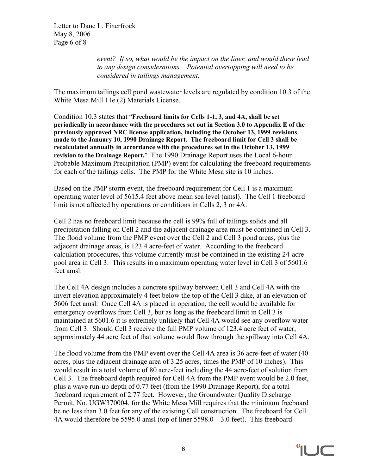Letter to Dane L. Finerfrock May 8, 2006 Page 6 of 8

> *event? If so, what would be the impact on the liner, and would these lead to any design considerations. Potential overtopping will need to be considered in tailings management.*

The maximum tailings cell pond wastewater levels are regulated by condition 10.3 of the White Mesa Mill 11e.(2) Materials License.

Condition 10.3 states that "**Freeboard limits for Cells 1-1, 3, and 4A, shall be set periodically in accordance with the procedures set out in Section 3.0 to Appendix E of the previously approved NRC license application, including the October 13, 1999 revisions made to the January 10, 1990 Drainage Report. The freeboard limit for Cell 3 shall be recalculated annually in accordance with the procedures set in the October 13, 1999 revision to the Drainage Report.**" The 1990 Drainage Report uses the Local 6-hour Probable Maximum Precipitation (PMP) event for calculating the freeboard requirements for each of the tailings cells. The PMP for the White Mesa site is 10 inches.

Based on the PMP storm event, the freeboard requirement for Cell 1 is a maximum operating water level of 5615.4 feet above mean sea level (amsl). The Cell 1 freeboard limit is not affected by operations or conditions in Cells 2, 3 or 4A.

Cell 2 has no freeboard limit because the cell is 99% full of tailings solids and all precipitation falling on Cell 2 and the adjacent drainage area must be contained in Cell 3. The flood volume from the PMP event over the Cell 2 and Cell 3 pond areas, plus the adjacent drainage areas, is 123.4 acre-feet of water. According to the freeboard calculation procedures, this volume currently must be contained in the existing 24-acre pool area in Cell 3. This results in a maximum operating water level in Cell 3 of 5601.6 feet amsl.

The Cell 4A design includes a concrete spillway between Cell 3 and Cell 4A with the invert elevation approximately 4 feet below the top of the Cell 3 dike, at an elevation of 5606 feet amsl. Once Cell 4A is placed in operation, the cell would be available for emergency overflows from Cell 3, but as long as the freeboard limit in Cell 3 is maintained at 5601.6 it is extremely unlikely that Cell 4A would see any overflow water from Cell 3. Should Cell 3 receive the full PMP volume of 123.4 acre feet of water, approximately 44 acre feet of that volume would flow through the spillway into Cell 4A.

The flood volume from the PMP event over the Cell 4A area is 36 acre-feet of water (40 acres, plus the adjacent drainage area of 3.25 acres, times the PMP of 10 inches). This would result in a total volume of 80 acre-feet including the 44 acre-feet of solution from Cell 3. The freeboard depth required for Cell 4A from the PMP event would be 2.0 feet, plus a wave run-up depth of 0.77 feet (from the 1990 Drainage Report), for a total freeboard requirement of 2.77 feet. However, the Groundwater Quality Discharge Permit, No. UGW370004, for the White Mesa Mill requires that the minimum freeboard be no less than 3.0 feet for any of the existing Cell construction. The freeboard for Cell 4A would therefore be 5595.0 amsl (top of liner 5598.0 – 3.0 feet). This freeboard

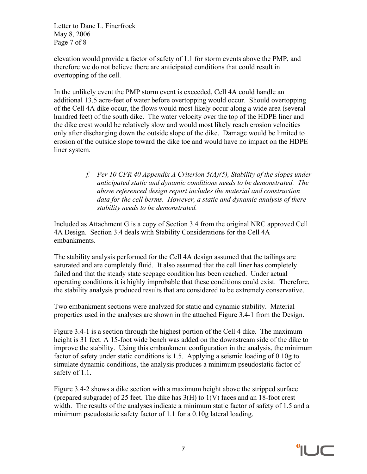Letter to Dane L. Finerfrock May 8, 2006 Page 7 of 8

elevation would provide a factor of safety of 1.1 for storm events above the PMP, and therefore we do not believe there are anticipated conditions that could result in overtopping of the cell.

In the unlikely event the PMP storm event is exceeded, Cell 4A could handle an additional 13.5 acre-feet of water before overtopping would occur. Should overtopping of the Cell 4A dike occur, the flows would most likely occur along a wide area (several hundred feet) of the south dike. The water velocity over the top of the HDPE liner and the dike crest would be relatively slow and would most likely reach erosion velocities only after discharging down the outside slope of the dike. Damage would be limited to erosion of the outside slope toward the dike toe and would have no impact on the HDPE liner system.

> *f. Per 10 CFR 40 Appendix A Criterion 5(A)(5), Stability of the slopes under anticipated static and dynamic conditions needs to be demonstrated. The above referenced design report includes the material and construction data for the cell berms. However, a static and dynamic analysis of there stability needs to be demonstrated.*

Included as Attachment G is a copy of Section 3.4 from the original NRC approved Cell 4A Design. Section 3.4 deals with Stability Considerations for the Cell 4A embankments.

The stability analysis performed for the Cell 4A design assumed that the tailings are saturated and are completely fluid. It also assumed that the cell liner has completely failed and that the steady state seepage condition has been reached. Under actual operating conditions it is highly improbable that these conditions could exist. Therefore, the stability analysis produced results that are considered to be extremely conservative.

Two embankment sections were analyzed for static and dynamic stability. Material properties used in the analyses are shown in the attached Figure 3.4-1 from the Design.

Figure 3.4-1 is a section through the highest portion of the Cell 4 dike. The maximum height is 31 feet. A 15-foot wide bench was added on the downstream side of the dike to improve the stability. Using this embankment configuration in the analysis, the minimum factor of safety under static conditions is 1.5. Applying a seismic loading of 0.10g to simulate dynamic conditions, the analysis produces a minimum pseudostatic factor of safety of 1.1.

Figure 3.4-2 shows a dike section with a maximum height above the stripped surface (prepared subgrade) of 25 feet. The dike has 3(H) to 1(V) faces and an 18-foot crest width. The results of the analyses indicate a minimum static factor of safety of 1.5 and a minimum pseudostatic safety factor of 1.1 for a 0.10g lateral loading.